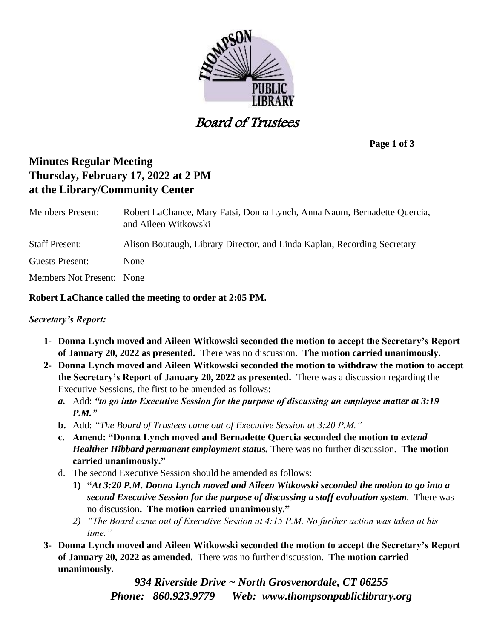

Board of Trustees

**Page 1 of 3**

# **Minutes Regular Meeting Thursday, February 17, 2022 at 2 PM at the Library/Community Center**

| <b>Members Present:</b>          | Robert LaChance, Mary Fatsi, Donna Lynch, Anna Naum, Bernadette Quercia,<br>and Aileen Witkowski |
|----------------------------------|--------------------------------------------------------------------------------------------------|
| <b>Staff Present:</b>            | Alison Boutaugh, Library Director, and Linda Kaplan, Recording Secretary                         |
| Guests Present:                  | None                                                                                             |
| <b>Members Not Present:</b> None |                                                                                                  |

# **Robert LaChance called the meeting to order at 2:05 PM.**

# *Secretary's Report:*

- **1- Donna Lynch moved and Aileen Witkowski seconded the motion to accept the Secretary's Report of January 20, 2022 as presented.** There was no discussion. **The motion carried unanimously.**
- **2- Donna Lynch moved and Aileen Witkowski seconded the motion to withdraw the motion to accept the Secretary's Report of January 20, 2022 as presented.** There was a discussion regarding the Executive Sessions, the first to be amended as follows:
	- *a.* Add: *"to go into Executive Session for the purpose of discussing an employee matter at 3:19 P.M."*
	- **b.** Add: *"The Board of Trustees came out of Executive Session at 3:20 P.M."*
	- **c. Amend: "Donna Lynch moved and Bernadette Quercia seconded the motion to** *extend Healther Hibbard permanent employment status.* There was no further discussion. **The motion carried unanimously."**
	- d. The second Executive Session should be amended as follows:
		- **1) "***At 3:20 P.M. Donna Lynch moved and Aileen Witkowski seconded the motion to go into a second Executive Session for the purpose of discussing a staff evaluation system.* There was no discussion**. The motion carried unanimously."**
		- *2) "The Board came out of Executive Session at 4:15 P.M. No further action was taken at his time."*
- **3- Donna Lynch moved and Aileen Witkowski seconded the motion to accept the Secretary's Report of January 20, 2022 as amended.** There was no further discussion. **The motion carried unanimously.**

*934 Riverside Drive ~ North Grosvenordale, CT 06255 Phone: 860.923.9779 Web: [www.thompsonpubliclibrary.org](http://www.thompsonpubliclibrary.org/)*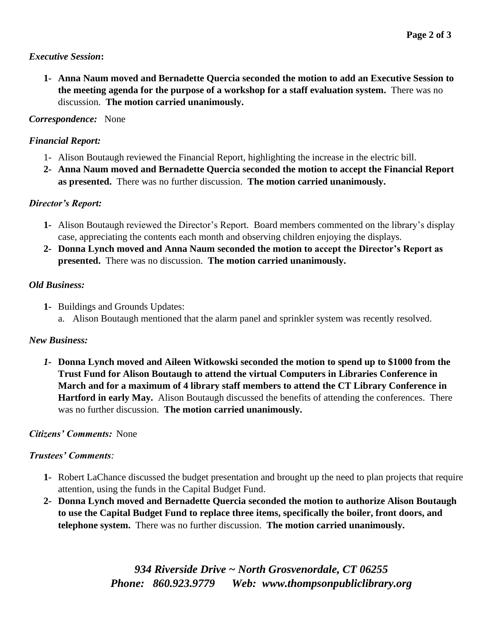#### *Executive Session***:**

**1- Anna Naum moved and Bernadette Quercia seconded the motion to add an Executive Session to the meeting agenda for the purpose of a workshop for a staff evaluation system.** There was no discussion. **The motion carried unanimously.**

# *Correspondence:* None

# *Financial Report:*

- 1- Alison Boutaugh reviewed the Financial Report, highlighting the increase in the electric bill.
- **2- Anna Naum moved and Bernadette Quercia seconded the motion to accept the Financial Report as presented.** There was no further discussion. **The motion carried unanimously.**

# *Director's Report:*

- **1-** Alison Boutaugh reviewed the Director's Report. Board members commented on the library's display case, appreciating the contents each month and observing children enjoying the displays.
- **2- Donna Lynch moved and Anna Naum seconded the motion to accept the Director's Report as presented.** There was no discussion. **The motion carried unanimously.**

# *Old Business:*

**1-** Buildings and Grounds Updates: a. Alison Boutaugh mentioned that the alarm panel and sprinkler system was recently resolved.

# *New Business:*

*1-* **Donna Lynch moved and Aileen Witkowski seconded the motion to spend up to \$1000 from the Trust Fund for Alison Boutaugh to attend the virtual Computers in Libraries Conference in March and for a maximum of 4 library staff members to attend the CT Library Conference in Hartford in early May.** Alison Boutaugh discussed the benefits of attending the conferences. There was no further discussion. **The motion carried unanimously.**

# *Citizens' Comments:* None

# *Trustees' Comments:*

- **1-** Robert LaChance discussed the budget presentation and brought up the need to plan projects that require attention, using the funds in the Capital Budget Fund.
- **2- Donna Lynch moved and Bernadette Quercia seconded the motion to authorize Alison Boutaugh to use the Capital Budget Fund to replace three items, specifically the boiler, front doors, and telephone system.** There was no further discussion. **The motion carried unanimously.**

*934 Riverside Drive ~ North Grosvenordale, CT 06255 Phone: 860.923.9779 Web: [www.thompsonpubliclibrary.org](http://www.thompsonpubliclibrary.org/)*